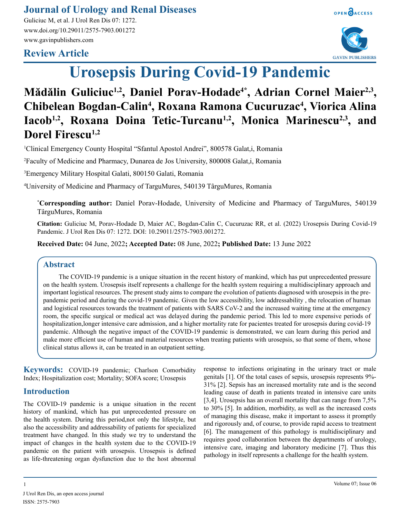## **Journal of Urology and Renal Diseases**

Guliciuc M, et al. J Urol Ren Dis 07: 1272. www.doi.org/10.29011/2575-7903.001272 www.gavinpublishers.com

## **Review Article**





# **Urosepsis During Covid-19 Pandemic**

## Mădălin Guliciuc<sup>1,2</sup>, Daniel Porav-Hodade<sup>4\*</sup>, Adrian Cornel Maier<sup>2,3</sup>, **Chibelean Bogdan-Calin4 , Roxana Ramona Cucuruzac4 , Viorica Alina**  Iacob<sup>1,2</sup>, Roxana Doina Tetic-Turcanu<sup>1,2</sup>, Monica Marinescu<sup>2,3</sup>, and Dorel Firescu<sup>1,2</sup>

<sup>1</sup>Clinical Emergency County Hospital "Sfantul Apostol Andrei", 800578 Galat,i, Romania

2 Faculty of Medicine and Pharmacy, Dunarea de Jos University, 800008 Galat,i, Romania

3 Emergency Military Hospital Galati, 800150 Galati, Romania

4 University of Medicine and Pharmacy of TarguMures, 540139 TârguMures, Romania

**\* Corresponding author:** Daniel Porav-Hodade, University of Medicine and Pharmacy of TarguMures, 540139 TârguMures, Romania

**Citation:** Guliciuc M, Porav-Hodade D, Maier AC, Bogdan-Calin C, Cucuruzac RR, et al. (2022) Urosepsis During Covid-19 Pandemic. J Urol Ren Dis 07: 1272. DOI: 10.29011/2575-7903.001272.

**Received Date:** 04 June, 2022**; Accepted Date:** 08 June, 2022**; Published Date:** 13 June 2022

#### **Abstract**

The COVID-19 pandemic is a unique situation in the recent history of mankind, which has put unprecedented pressure on the health system. Urosepsis itself represents a challenge for the health system requiring a multidisciplinary approach and important logistical resources. The present study aims to compare the evolution of patients diagnosed with urosepsis in the prepandemic period and during the covid-19 pandemic. Given the low accessibility, low addressability , the relocation of human and logistical resources towards the treatment of patients with SARS CoV-2 and the increased waiting time at the emergency room, the specific surgical or medical act was delayed during the pandemic period. This led to more expensive periods of hospitalization,longer intensive care admission, and a higher mortality rate for pacientes treated for urosepsis during covid-19 pandemic. Although the negative impact of the COVID-19 pandemic is demonstrated, we can learn during this period and make more efficient use of human and material resources when treating patients with urosepsis, so that some of them, whose clinical status allows it, can be treated in an outpatient setting.

**Keywords:** COVID-19 pandemic; Charlson Comorbidity Index; Hospitalization cost; Mortality; SOFA score; Urosepsis

#### **Introduction**

The COVID-19 pandemic is a unique situation in the recent history of mankind, which has put unprecedented pressure on the health system. During this period,not only the lifestyle, but also the accessibility and addressability of patients for specialized treatment have changed. In this study we try to understand the impact of changes in the health system due to the COVID-19 pandemic on the patient with urosepsis. Urosepsis is defined as life-threatening organ dysfunction due to the host abnormal

response to infections originating in the urinary tract or male genitals [1]. Of the total cases of sepsis, urosepsis represents 9%- 31% [2]. Sepsis has an increased mortality rate and is the second leading cause of death in patients treated in intensive care units [3,4]. Urosepsis has an overall mortality that can range from 7,5% to 30% [5]. In addition, morbidity, as well as the increased costs of managing this disease, make it important to assess it promptly and rigorously and, of course, to provide rapid access to treatment [6]. The management of this pathology is multidisciplinary and requires good collaboration between the departments of urology, intensive care, imaging and laboratory medicine [7]. Thus this pathology in itself represents a challenge for the health system.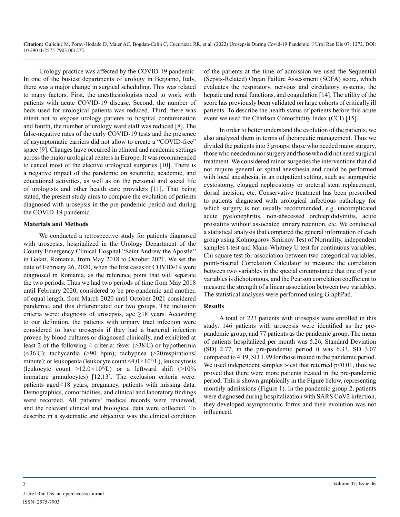Urology practice was affected by the COVID-19 pandemic. In one of the busiest departments of urology in Bergamo, Italy, there was a major change in surgical scheduling. This was related to many factors. First, the anesthesiologists need to work with patients with acute COVID-19 disease. Second, the number of beds used for urological patients was reduced. Third, there was intent not to expose urology patients to hospital contamination and fourth, the number of urology ward staff was reduced [8]. The false-negative rates of the early COVID-19 tests and the presence of asymptomatic carriers did not allow to create a "COVID-free" space [9]. Changes have occurred in clinical and academic settings across the major urological centers in Europe. It was recommended to cancel most of the elective urological surgeries [10]. There is a negative impact of the pandemic on scientific, academic, and educational activities, as well as on the personal and social life of urologists and other health care providers [11]. That being stated, the present study aims to compare the evolution of patients diagnosed with urosepsis in the pre-pandemic period and during the COVID-19 pandemic.

#### **Materials and Methods**

We conducted a retrospective study for patients diagnosed with urosepsis, hospitalized in the Urology Department of the County Emergency Clinical Hospital "Saint Andrew the Apostle'' in Galati, Romania, from May 2018 to October 2021. We set the date of February 26, 2020, when the first cases of COVID-19 were diagnosed in Romania, as the reference point that will separate the two periods. Thus we had two periods of time from May 2018 until February 2020, considered to be pre-pandemic and another, of equal length, from March 2020 until October 2021 considered pandemic, and this differentiated our two groups. The inclusion criteria were: diagnosis of urosepsis, age  $\geq$ 18 years. According to our definition, the patients with urinary tract infection were considered to have urosepsis if they had a bacterial infection proven by blood cultures or diagnosed clinically, and exhibited at least 2 of the following 4 criteria: fever (>38° C) or hypothermia (<36° C); tachycardia (>90 bpm); tachypnea (>20 respirations/ minute); or leukopenia (leukocyte count <4.0 × 10<sup>9</sup>/L), leukocytosis (leukocyte count  $>12.0 \times 10^9$ /L) or a leftward shift ( $>10\%$ ) immature granulocytes) [12,13]. The exclusion criteria were: patients aged<18 years, pregnancy, patients with missing data. Demographics, comorbidities, and clinical and laboratory findings were recorded. All patients' medical records were reviewed, and the relevant clinical and biological data were collected. To describe in a systematic and objective way the clinical condition

of the patients at the time of admission we used the Sequential (Sepsis-Related) Organ Failure Assessment (SOFA) score, which evaluates the respiratory, nervous and circulatory systems, the hepatic and renal functions, and coagulation [14]. The utility of the score has previously been validated on large cohorts of critically ill patients. To describe the health status of patients before this acute event we used the Charlson Comorbidity Index (CCI) [15].

In order to better understand the evolution of the patients, we also analyzed them in terms of therapeutic management. Thus we divided the patients into 3 groups: those who needed major surgery, those who needed minor surgery and those who did not need surgical treatment. We considered minor surgeries the interventions that did not require general or spinal anesthesia and could be performed with local anesthesia, in an outpatient setting, such as: suprapubic cystostomy, clogged nephrostomy or ureteral stent replacement, dorsal incision, etc. Conservative treatment has been prescribed to patients diagnosed with urological infectious pathology for which surgery is not usually recommended, e.g. uncomplicated acute pyelonephritis, non-abscessed orchiepididymitis, acute prostatitis without associated urinary retention, etc. We conducted a statistical analysis that compared the general information of each group using Kolmogorov-Smirnov Test of Normality, independent samples t-test and Mann-Whitney U test for continuous variables, Chi square test for association between two categorical variables, point-biserial Correlation Calculator to measure the correlation between two variables in the special circumstance that one of your variables is dichotomous, and the Pearson correlation coefficient to measure the strength of a linear association between two variables. The statistical analyses were performed using GraphPad.

#### **Results**

A total of 223 patients with urosepsis were enrolled in this study. 146 patients with urosepsis were identified as the prepandemic group, and 77 patients as the pandemic group. The mean of patients hospitalized per month was 5.26, Standard Deviation (SD) 2.77, in the pre-pandemic period it was 6.33, SD 3.07 compared to 4.19, SD 1.99 for those treated in the pandemic period. We used independent samples t-test that returned  $p<0.01$ , thus we proved that there were more patients treated in the pre-pandemic period. This is shown graphically in the Figure below, representing monthly admissions (Figure 1). In the pandemic group 2, patients were diagnosed during hospitalization with SARS CoV2 infection, they developed asymptomatic forms and their evolution was not influenced.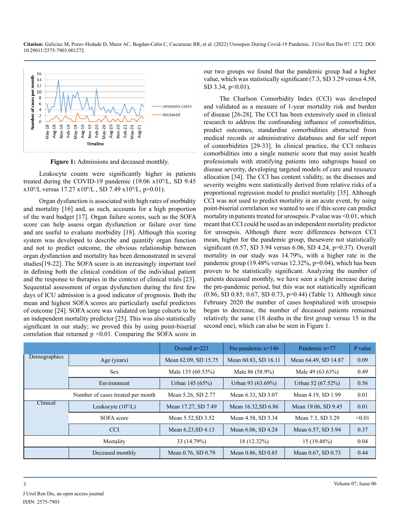

**Figure 1:** Admissions and deceased monthly.

Leukocyte counts were significantly higher in patients treated during the COVID-19 pandemic (19.06 x10<sup>9</sup>/L, SD 9.45  $x10<sup>9</sup>/L$  versus  $17.27 \text{ x}10<sup>9</sup>/L$ , SD 7.49  $x10<sup>9</sup>/L$ , p=0.01).

Organ dysfunction is associated with high rates of morbidity and mortality [16] and, as such, accounts for a high proportion of the ward budget [17]. Organ failure scores, such as the SOFA score can help assess organ dysfunction or failure over time and are useful to evaluate morbidity [18]. Although this scoring system was developed to describe and quantify organ function and not to predict outcome, the obvious relationship between organ dysfunction and mortality has been demonstrated in several studies[19-22]. The SOFA score is an increasingly important tool in defining both the clinical condition of the individual patient and the response to therapies in the context of clinical trials [23]. Sequential assessment of organ dysfunction during the first few days of ICU admission is a good indicator of prognosis. Both the mean and highest SOFA scores are particularly useful predictors of outcome [24]. SOFA score was validated on large cohorts to be an independent mortality predictor [25]. This was also statistically significant in our study; we proved this by using point-biserial correlation that returned  $p \le 0.01$ . Comparing the SOFA score in

our two groups we found that the pandemic group had a higher value, which was statistically significant (7.3, SD 3.29 versus 4.58, SD 3.34, p<0.01).

The Charlson Comorbidity Index (CCI) was developed and validated as a measure of 1-year mortality risk and burden of disease [26-28]. The CCI has been extensively used in clinical research to address the confounding influence of comorbidities, predict outcomes, standardise comorbidities abstracted from medical records or administrative databases and for self report of comorbidities [29-33]. In clinical practice, the CCI reduces comorbidities into a single numeric score that may assist health professionals with stratifying patients into subgroups based on disease severity, developing targeted models of care and resource allocation [34]. The CCI has content validity, as the diseases and severity weights were statistically derived from relative risks of a proportional regression model to predict mortality [35]. Although CCI was not used to predict mortality in an acute event, by using point-biserial correlation we wanted to see if this score can predict mortality in patients treated for urosepsis. P value was  $\leq 0.01$ , which meant that CCI could be used as an independent mortality predictor for urosepsis. Although there were differences between CCI mean, higher for the pandemic group, thesewere not statistically significant (6.57, SD 3.94 versus 6.06, SD 4.24, p=0.37). Overall mortality in our study was 14.79%, with a higher rate in the pandemic group (19.48% versus  $12.32\%$ , p=0.04), which has been proven to be statistically significant. Analyzing the number of patients deceased monthly, we have seen a slight increase during the pre-pandemic period, but this was not statistically significant (0.86, SD 0.85; 0.67, SD 0.73, p=0.44) (Table 1). Although since February 2020 the number of cases hospitalized with urosepsis began to decrease, the number of deceased patients remained relatively the same (18 deaths in the first group versus 15 in the second one), which can also be seen in Figure 1.

|              |                                   | Overall $n=223$      | Pre-pandemic $n=146$ | Pandemic n=77        | P value |
|--------------|-----------------------------------|----------------------|----------------------|----------------------|---------|
| Demographics | Age (years)                       | Mean 62.09, SD 15.75 | Mean 60.83, SD 16.11 | Mean 64.49, SD 14.87 | 0.09    |
|              | <b>Sex</b>                        | Male 135 (60.53%)    | Male 86 (58.9%)      | Male 49 (63.63%)     | 0.49    |
|              | Environment                       | Urban 145 $(65%)$    | Urban 93 $(63.69\%)$ | Urban 52 $(67.52\%)$ | 0.56    |
|              | Number of cases treated per month | Mean 5.26, SD 2.77   | Mean 6.33, SD 3.07   | Mean 4.19, SD 1.99   | 0.01    |
| Clinical     | Leukocyte $(10^9/L)$              | Mean 17.27, SD 7.49  | Mean 16.32, SD 6.86  | Mean 19.06, SD 9.45  | 0.01    |
|              | SOFA score                        | Mean 5.52, SD 3.52   | Mean 4.58, SD 3.34   | Mean 7.3, SD 3.29    | < 0.01  |
|              | <b>CCI</b>                        | Mean 6.23, SD 4.13   | Mean 6.06, SD 4.24   | Mean 6.57, SD 3.94   | 0.37    |
|              | Mortality                         | 33 (14.79%)          | 18 (12.32%)          | $15(19.48\%)$        | 0.04    |
|              | Deceased monthly                  | Mean 0.76, SD 0.79   | Mean 0.86, SD 0.85   | Mean 0.67, SD 0.73   | 0.44    |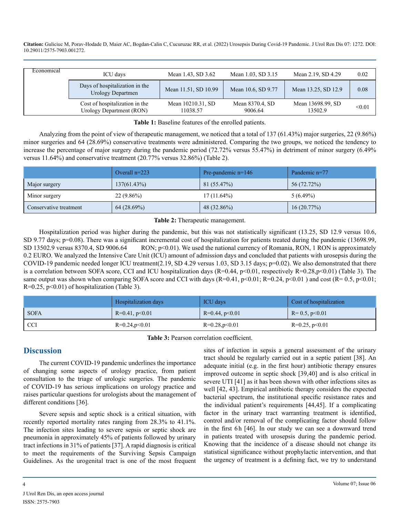| Economical | ICU days                                                   | Mean 1.43, SD 3.62            | Mean 1.03, SD 3.15         | Mean 2.19, SD 4.29           | 0.02   |
|------------|------------------------------------------------------------|-------------------------------|----------------------------|------------------------------|--------|
|            | Days of hospitalization in the<br>Urology Departmen        | Mean 11.51, SD 10.99          | Mean 10.6, SD 9.77         | Mean 13.25, SD 12.9          | 0.08   |
|            | Cost of hospitalization in the<br>Urology Department (RON) | Mean 10210.31, SD<br>11038.57 | Mean 8370.4, SD<br>9006.64 | Mean 13698.99, SD<br>13502.9 | < 0.01 |

**Table 1:** Baseline features of the enrolled patients.

Analyzing from the point of view of therapeutic management, we noticed that a total of 137 (61.43%) major surgeries, 22 (9.86%) minor surgeries and 64 (28.69%) conservative treatments were administered. Comparing the two groups, we noticed the tendency to increase the percentage of major surgery during the pandemic period (72.72% versus 55.47%) in detriment of minor surgery (6.49% versus 11.64%) and conservative treatment (20.77% versus 32.86%) (Table 2).

|                        | Overall $n=223$ | Pre-pandemic $n=146$ | Pandemic n=77 |
|------------------------|-----------------|----------------------|---------------|
| Major surgery          | 137(61.43%)     | 81 (55.47%)          | 56 (72.72%)   |
| Minor surgery          | $22(9.86\%)$    | $17(11.64\%)$        | $5(6.49\%)$   |
| Conservative treatment | $64(28.69\%)$   | 48 (32.86%)          | 16(20.77%)    |

**Table 2:** Therapeutic management.

Hospitalization period was higher during the pandemic, but this was not statistically significant (13.25, SD 12.9 versus 10.6, SD 9.77 days; p=0.08). There was a significant incremental cost of hospitalization for patients treated during the pandemic (13698.99, SD 13502.9 versus 8370.4, SD 9006.64 RON; p<0.01). We used the national currency of Romania, RON, 1 RON is approximately 0.2 EURO. We analyzed the Intensive Care Unit (ICU) amount of admission days and concluded that patients with urosepsis during the COVID-19 pandemic needed longer ICU treatment(2.19, SD 4.29 versus 1.03, SD 3.15 days;  $p=0.02$ ). We also demonstrated that there is a correlation between SOFA score, CCI and ICU hospitalization days (R=0.44, p<0.01, respectively R=0.28,p<0.01) (Table 3). The same output was shown when comparing SOFA score and CCI with days  $(R=0.41, p<0.01; R=0.24, p<0.01)$  and cost  $(R= 0.5, p<0.01; R=0.01)$ R=0.25, p<0.01) of hospitalization (Table 3).

|             | <b>Hospitalization days</b> | ICU days            | Cost of hospitalization |
|-------------|-----------------------------|---------------------|-------------------------|
| <b>SOFA</b> | $R=0.41, p<0.01$            | $R=0.44, p<0.01$    | $R = 0.5$ , $p < 0.01$  |
| <b>CCI</b>  | $R=0.24$ , $p<0.01$         | $R=0.28$ , $p<0.01$ | $R=0.25, p<0.01$        |

**Table 3:** Pearson correlation coefficient.

### **Discussion**

The current COVID-19 pandemic underlines the importance of changing some aspects of urology practice, from patient consultation to the triage of urologic surgeries. The pandemic of COVID-19 has serious implications on urology practice and raises particular questions for urologists about the management of different conditions [36].

Severe sepsis and septic shock is a critical situation, with recently reported mortality rates ranging from 28.3% to 41.1%. The infection sites leading to severe sepsis or septic shock are pneumonia in approximately 45% of patients followed by urinary tract infections in 31% of patients [37]. A rapid diagnosis is critical to meet the requirements of the Surviving Sepsis Campaign Guidelines. As the urogenital tract is one of the most frequent sites of infection in sepsis a general assessment of the urinary tract should be regularly carried out in a septic patient [38]. An adequate initial (e.g. in the first hour) antibiotic therapy ensures improved outcome in septic shock [39,40] and is also critical in severe UTI [41] as it has been shown with other infections sites as well [42, 43]. Empirical antibiotic therapy considers the expected bacterial spectrum, the institutional specific resistance rates and the individual patient's requirements [44,45]. If a complicating factor in the urinary tract warranting treatment is identified, control and/or removal of the complicating factor should follow in the first 6h [46]. In our study we can see a downward trend in patients treated with urosepsis during the pandemic period. Knowing that the incidence of a disease should not change its statistical significance without prophylactic intervention, and that the urgency of treatment is a defining fact, we try to understand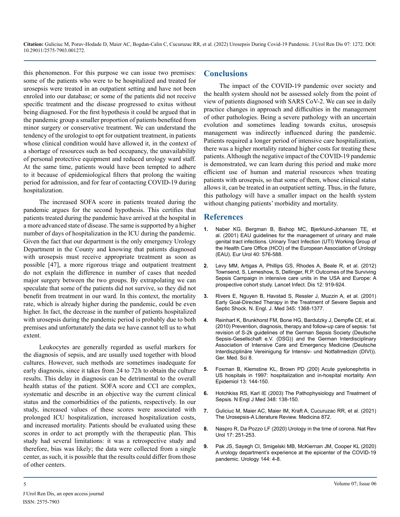this phenomenon. For this purpose we can issue two premises: some of the patients who were to be hospitalized and treated for urosepsis were treated in an outpatient setting and have not been enroled into our database; or some of the patients did not receive specific treatment and the disease progressed to exitus without being diagnosed. For the first hypothesis it could be argued that in the pandemic group a smaller proportion of patients benefited from minor surgery or conservative treatment. We can understand the tendency of the urologist to opt for outpatient treatment, in patients whose clinical condition would have allowed it, in the context of a shortage of resources such as bed occupancy, the unavailability of personal protective equipment and reduced urology ward staff. At the same time, patients would have been tempted to adhere to it because of epidemiological filters that prolong the waiting period for admission, and for fear of contacting COVID-19 during hospitalization.

The increased SOFA score in patients treated during the pandemic argues for the second hypothesis. This certifies that patients treated during the pandemic have arrived at the hospital in a more advanced state of disease. The same is supported by a higher number of days of hospitalization in the ICU during the pandemic. Given the fact that our department is the only emergency Urology Department in the County and knowing that patients diagnosed with urosepsis must receive appropriate treatment as soon as possible [47], a more rigorous triage and outpatient treatment do not explain the difference in number of cases that needed major surgery between the two groups. By extrapolating we can speculate that some of the patients did not survive, so they did not benefit from treatment in our ward. In this context, the mortality rate, which is already higher during the pandemic, could be even higher. In fact, the decrease in the number of patients hospitalized with urosepsis during the pandemic period is probably due to both premises and unfortunately the data we have cannot tell us to what extent.

Leukocytes are generally regarded as useful markers for the diagnosis of sepsis, and are usually used together with blood cultures. However, such methods are sometimes inadequate for early diagnosis, since it takes from 24 to 72 h to obtain the culture results. This delay in diagnosis can be detrimental to the overall health status of the patient. SOFA score and CCI are complex, systematic and describe in an objective way the current clinical status and the comorbidities of the patients, respectively. In our study, increased values of these scores were associated with prolonged ICU hospitalization, increased hospitalization costs, and increased mortality. Patients should be evaluated using these scores in order to act promptly with the therapeutic plan. This study had several limitations: it was a retrospective study and therefore, bias was likely; the data were collected from a single center, as such, it is possible that the results could differ from those of other centers.

#### **Conclusions**

The impact of the COVID-19 pandemic over society and the health system should not be assessed solely from the point of view of patients diagnosed with SARS CoV-2. We can see in daily practice changes in approach and difficulties in the management of other pathologies. Being a severe pathology with an uncertain evolution and sometimes leading towards exitus, urosepsis management was indirectly influenced during the pandemic. Patients required a longer period of intensive care hospitalization, there was a higher mortality rateand higher costs for treating these patients. Although the negative impact of the COVID-19 pandemic is demonstrated, we can learn during this period and make more efficient use of human and material resources when treating patients with urosepsis, so that some of them, whose clinical status allows it, can be treated in an outpatient setting. Thus, in the future, this pathology will have a smaller impact on the health system without changing patients' morbidity and mortality.

#### **References**

- **1.** [Naber KG, Bergman B, Bishop MC, Bjerklund-Johansen TE, et](https://pubmed.ncbi.nlm.nih.gov/11752870/) [al. \(2001\) EAU guidelines for the management of urinary and male](https://pubmed.ncbi.nlm.nih.gov/11752870/)  [genital tract infections. Urinary Tract Infection \(UTI\) Working Group of](https://pubmed.ncbi.nlm.nih.gov/11752870/)  [the Health Care Office \(HCO\) of the European Association of Urology](https://pubmed.ncbi.nlm.nih.gov/11752870/)  [\(EAU\). Eur Urol 40: 576-588.](https://pubmed.ncbi.nlm.nih.gov/11752870/)
- **2.** [Levy MM, Artigas A, Phillips GS, Rhodes A, Beale R, et al. \(2012\)](https://pubmed.ncbi.nlm.nih.gov/23103175/)  [Townsend, S, Lemeshow, S, Dellinger, R.P. Outcomes of the Surviving](https://pubmed.ncbi.nlm.nih.gov/23103175/)  [Sepsis Campaign in intensive care units in the USA and Europe: A](https://pubmed.ncbi.nlm.nih.gov/23103175/)  [prospective cohort study. Lancet Infect. Dis 12: 919-924.](https://pubmed.ncbi.nlm.nih.gov/23103175/)
- **3.** [Rivers E, Nguyen B, Havstad S, Ressler J, Muzzin A, et al. \(2001\)](https://pubmed.ncbi.nlm.nih.gov/11794169/)  [Early Goal-Directed Therapy in the Treatment of Severe Sepsis and](https://pubmed.ncbi.nlm.nih.gov/11794169/)  [Septic Shock. N. Engl. J. Med 345: 1368-1377.](https://pubmed.ncbi.nlm.nih.gov/11794169/)
- **4.** [Reinhart K, Brunkhorst FM, Bone HG, Bardutzky J, Dempfle CE, et al.](https://pubmed.ncbi.nlm.nih.gov/20628653/)  [\(2010\) Prevention, diagnosis, therapy and follow-up care of sepsis: 1st](https://pubmed.ncbi.nlm.nih.gov/20628653/)  [revision of S-2k guidelines of the German Sepsis Society \(Deutsche](https://pubmed.ncbi.nlm.nih.gov/20628653/)  [Sepsis-Gesellschaft e.V. \(DSG\)\) and the German Interdisciplinary](https://pubmed.ncbi.nlm.nih.gov/20628653/)  [Association of Intensive Care and Emergency Medicine \(Deutsche](https://pubmed.ncbi.nlm.nih.gov/20628653/)  [Interdisziplinäre Vereinigung für Intensiv- und Notfallmedizin \(DIVI\)\).](https://pubmed.ncbi.nlm.nih.gov/20628653/) [Ger. Med. Sci 8.](https://pubmed.ncbi.nlm.nih.gov/20628653/)
- **5.** [Foxman B, Klemstine KL, Brown PD \(200\) Acute pyelonephritis in](https://pubmed.ncbi.nlm.nih.gov/12559674/)  [US hospitals in 1997: hospitalization and in-hospital mortality. Ann](https://pubmed.ncbi.nlm.nih.gov/12559674/)  [Epidemiol 13: 144-150.](https://pubmed.ncbi.nlm.nih.gov/12559674/)
- **6.** [Hotchkiss RS, Karl IE \(2003\) The Pathophysiology and Treatment of](https://pubmed.ncbi.nlm.nih.gov/12519925/)  [Sepsis. N Engl J Med 348: 138-150.](https://pubmed.ncbi.nlm.nih.gov/12519925/)
- **7.** [Guliciuc M, Maier AC, Maier IM, Kraft A, Cucuruzac RR, et al. \(2021\)](https://pubmed.ncbi.nlm.nih.gov/34577795/) [The Urosepsis-A Literature Review. Medicina 872.](https://pubmed.ncbi.nlm.nih.gov/34577795/)
- **8.** [Naspro R, Da Pozzo LF \(2020\) Urology in the time of corona. Nat Rev](https://pubmed.ncbi.nlm.nih.gov/32203310/)  [Urol 17: 251-253.](https://pubmed.ncbi.nlm.nih.gov/32203310/)
- **9.** [Pak JS, Sayegh CI, Smigelski MB, McKiernan JM, Cooper KL \(2020\)](https://pubmed.ncbi.nlm.nih.gov/32619601/) [A urology department's experience at the epicenter of the COVID-19](https://pubmed.ncbi.nlm.nih.gov/32619601/)  [pandemic. Urology 144: 4-8.](https://pubmed.ncbi.nlm.nih.gov/32619601/)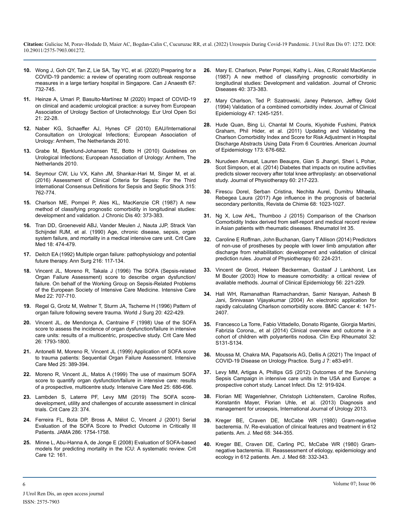- **10.** [Wong J, Goh QY, Tan Z, Lie SA, Tay YC, et al. \(2020\) Preparing for a](https://pubmed.ncbi.nlm.nih.gov/32162212/)  [COVID-19 pandemic: a review of operating room outbreak response](https://pubmed.ncbi.nlm.nih.gov/32162212/)  [measures in a large tertiary hospital in Singapore. Can J Anaesth 67:](https://pubmed.ncbi.nlm.nih.gov/32162212/)  [732-745.](https://pubmed.ncbi.nlm.nih.gov/32162212/)
- **11.** [Heinze A, Umari P, Basulto-Martínez M \(2020\) Impact of COVID-19](https://pubmed.ncbi.nlm.nih.gov/33123688/)  [on clinical and academic urological practice: a survey from European](https://pubmed.ncbi.nlm.nih.gov/33123688/)  [Association of Urology Section of Urotechnology. Eur Urol Open Sci](https://pubmed.ncbi.nlm.nih.gov/33123688/)  [21: 22-28.](https://pubmed.ncbi.nlm.nih.gov/33123688/)
- **12.** [Naber KG, Schaeffer AJ, Hynes CF \(2010\) EAU/International](http://fau.org.ar/pdf/Urological-infections_fullingles.pdf)  [Consultation on Urological Infections; European Association of](http://fau.org.ar/pdf/Urological-infections_fullingles.pdf)  [Urology: Arnhem, The Netherlands 2010.](http://fau.org.ar/pdf/Urological-infections_fullingles.pdf)
- **13.** [Grabe M, Bjerklund-Johansen TE, Botto H \(2010\) Guidelines on](https://www.researchgate.net/publication/284761422_Guidelines_on_urological_infections)  [Urological Infections; European Association of Urology: Arnhem, The](https://www.researchgate.net/publication/284761422_Guidelines_on_urological_infections) [Netherlands 2010.](https://www.researchgate.net/publication/284761422_Guidelines_on_urological_infections)
- **14.** [Seymour CW, Liu VX, Kahn JM, Shankar-Hari M, Singer M, et al.](https://pubmed.ncbi.nlm.nih.gov/26903335/)  [\(2016\) Assessment of Clinical Criteria for Sepsis: For the Third](https://pubmed.ncbi.nlm.nih.gov/26903335/)  [International Consensus Definitions for Sepsis and Septic Shock 315:](https://pubmed.ncbi.nlm.nih.gov/26903335/)  [762-774.](https://pubmed.ncbi.nlm.nih.gov/26903335/)
- **15.** [Charlson ME, Pompei P, Ales KL, MacKenzie CR \(1987\) A new](https://pubmed.ncbi.nlm.nih.gov/3558716/)  [method of classifying prognostic comorbidity in longitudinal studies:](https://pubmed.ncbi.nlm.nih.gov/3558716/)  [development and validation. J Chronic Dis 40: 373-383.](https://pubmed.ncbi.nlm.nih.gov/3558716/)
- **16.** [Tran DD, Groeneveld ABJ, Vander Meulen J, Nauta JJP, Strack Van](https://pubmed.ncbi.nlm.nih.gov/2328591/)  [Schijndel RJM, et al. \(1990\) Age, chronic disease, sepsis, organ](https://pubmed.ncbi.nlm.nih.gov/2328591/)  [system failure, and mortality in a medical intensive care unit. Crit Care](https://pubmed.ncbi.nlm.nih.gov/2328591/)  [Med 18: 474-479.](https://pubmed.ncbi.nlm.nih.gov/2328591/)
- **17.** [Deitch EA \(1992\) Multiple organ failure: pathophysiology and potential](https://pubmed.ncbi.nlm.nih.gov/1503516/)  [future therapy. Ann Surg 216: 117-134.](https://pubmed.ncbi.nlm.nih.gov/1503516/)
- **18.** [Vincent JL, Moreno R, Takala J \(1996\) The SOFA \(Sepsis-related](https://pubmed.ncbi.nlm.nih.gov/8844239/)  [Organ Failure Assessment\) score to describe organ dysfunction/](https://pubmed.ncbi.nlm.nih.gov/8844239/) [failure. On behalf of the Working Group on Sepsis-Related Problems](https://pubmed.ncbi.nlm.nih.gov/8844239/) [of the European Society of Intensive Care Medicine. Intensive Care](https://pubmed.ncbi.nlm.nih.gov/8844239/)  [Med 22: 707-710.](https://pubmed.ncbi.nlm.nih.gov/8844239/)
- **19.** [Regel G, Grotz M, Weltner T, Sturm JA, Tscherne H \(1996\) Pattern of](https://pubmed.ncbi.nlm.nih.gov/8662130/) [organ failure following severe trauma. World J Surg 20: 422-429.](https://pubmed.ncbi.nlm.nih.gov/8662130/)
- **20.** [Vincent JL, de Mendonça A, Cantraine F \(1998\) Use of the SOFA](https://pubmed.ncbi.nlm.nih.gov/8662130/)  [score to assess the incidence of organ dysfunction/failure in intensive](https://pubmed.ncbi.nlm.nih.gov/8662130/)  [care units: results of a multicentric, prospective study. Crit Care Med](https://pubmed.ncbi.nlm.nih.gov/8662130/)  [26: 1793-1800.](https://pubmed.ncbi.nlm.nih.gov/8662130/)
- **21.** [Antonelli M, Moreno R, Vincent JL \(1999\) Application of SOFA score](https://pubmed.ncbi.nlm.nih.gov/10342513/) [to trauma patients: Sequential Organ Failure Assessment. Intensive](https://pubmed.ncbi.nlm.nih.gov/10342513/)  [Care Med 25: 389-394.](https://pubmed.ncbi.nlm.nih.gov/10342513/)
- **22.** [Moreno R, Vincent JL, Matos A \(1999\) The use of maximum SOFA](https://pubmed.ncbi.nlm.nih.gov/10470572/) [score to quantify organ dysfunction/failure in intensive care: results](https://pubmed.ncbi.nlm.nih.gov/10470572/)  [of a prospective, multicentre study. Intensive Care Med 25: 686-696.](https://pubmed.ncbi.nlm.nih.gov/10470572/)
- **23.** [Lambden S, Laterre PF, Levy MM \(2019\) The SOFA score](https://pubmed.ncbi.nlm.nih.gov/31775846/)[development, utility and challenges of accurate assessment in clinical](https://pubmed.ncbi.nlm.nih.gov/31775846/)  [trials. Crit Care 23: 374.](https://pubmed.ncbi.nlm.nih.gov/31775846/)
- **24.** [Ferreira FL, Bota DP, Bross A, Mélot C, Vincent J \(2001\) Serial](https://pubmed.ncbi.nlm.nih.gov/11594901/) [Evaluation of the SOFA Score to Predict Outcome in Critically Ill](https://pubmed.ncbi.nlm.nih.gov/11594901/)  [Patients. JAMA 286: 1754-1758.](https://pubmed.ncbi.nlm.nih.gov/11594901/)
- **25.** [Minne L, Abu-Hanna A, de Jonge E \(2008\) Evaluation of SOFA-based](https://pubmed.ncbi.nlm.nih.gov/19091120/)  [models for predicting mortality in the ICU: A systematic review. Crit](https://pubmed.ncbi.nlm.nih.gov/19091120/)  [Care 12: 161.](https://pubmed.ncbi.nlm.nih.gov/19091120/)
- **26.** [Mary E. Charlson, Peter Pompei, Kathy L. Ales, C.Ronald MacKenzie](https://pubmed.ncbi.nlm.nih.gov/19091120/)  [\(1987\) A new method of classifying prognostic comorbidity in](https://pubmed.ncbi.nlm.nih.gov/19091120/)  [longitudinal studies: Development and validation. Journal of Chronic](https://pubmed.ncbi.nlm.nih.gov/19091120/)  [Diseases 40: 373-383.](https://pubmed.ncbi.nlm.nih.gov/19091120/)
- **27.** [Mary Charlson, Ted P. Szatrowski, Janey Peterson, Jeffrey Gold](https://pubmed.ncbi.nlm.nih.gov/7722560/)  [\(1994\) Validation of a combined comorbidity index. Journal of Clinical](https://pubmed.ncbi.nlm.nih.gov/7722560/)  [Epidemiology 47: 1245-1251.](https://pubmed.ncbi.nlm.nih.gov/7722560/)
- **28.** [Hude Quan, Bing Li, Chantal M Couris, Kiyohide Fushimi, Patrick](https://pubmed.ncbi.nlm.nih.gov/21330339/)  [Graham, Phil Hider, et al. \(2011\) Updating and Validating the](https://pubmed.ncbi.nlm.nih.gov/21330339/) [Charlson Comorbidity Index and Score for Risk Adjustment in Hospital](https://pubmed.ncbi.nlm.nih.gov/21330339/)  [Discharge Abstracts Using Data From 6 Countries. American Journal](https://pubmed.ncbi.nlm.nih.gov/21330339/)  [of Epidemiology 173: 676-682.](https://pubmed.ncbi.nlm.nih.gov/21330339/)
- **29.** [Nurudeen Amusat, Lauren Beaupre, Gian S Jhangri, Sheri L Pohar,](https://pubmed.ncbi.nlm.nih.gov/25443651/) [Scot Simpson, et al. \(2014\) Diabetes that impacts on routine activities](https://pubmed.ncbi.nlm.nih.gov/25443651/)  [predicts slower recovery after total knee arthroplasty: an observational](https://pubmed.ncbi.nlm.nih.gov/25443651/)  [study. Journal of Physiotherapy 60: 217-223.](https://pubmed.ncbi.nlm.nih.gov/25443651/)
- **30.** [Firescu Dorel, Serban Cristina, Nechita Aurel, Dumitru Mihaela,](https://revistadechimie.ro/Articles.asp?ID=5603)  [Rebegea Laura \(2017\) Age influence in the prognosis of bacterial](https://revistadechimie.ro/Articles.asp?ID=5603)  [secondary peritonitis, Revista de Chimie 68: 1023-1027.](https://revistadechimie.ro/Articles.asp?ID=5603)
- **31.** [Ng X, Low AHL, Thumboo J \(2015\) Comparison of the Charlson](https://pubmed.ncbi.nlm.nih.gov/26059942/)  [Comorbidity Index derived from self-report and medical record review](https://pubmed.ncbi.nlm.nih.gov/26059942/)  [in Asian patients with rheumatic diseases. Rheumatol Int 35.](https://pubmed.ncbi.nlm.nih.gov/26059942/)
- **32.** [Caroline E Roffman, John Buchanan, Garry T Allison \(2014\) Predictors](https://pubmed.ncbi.nlm.nih.gov/25450484/)  [of non-use of prostheses by people with lower limb amputation after](https://pubmed.ncbi.nlm.nih.gov/25450484/)  [discharge from rehabilitation: development and validation of clinical](https://pubmed.ncbi.nlm.nih.gov/25450484/)  [prediction rules. Journal of Physiotherapy 60: 224-231.](https://pubmed.ncbi.nlm.nih.gov/25450484/)
- **33.** [Vincent de Groot, Heleen Beckerman, Gustaaf J Lankhorst, Lex](https://pubmed.ncbi.nlm.nih.gov/12725876/)  [M Bouter \(2003\) How to measure comorbidity: a critical review of](https://pubmed.ncbi.nlm.nih.gov/12725876/)  [available methods. Journal of Clinical Epidemiology 56: 221-229.](https://pubmed.ncbi.nlm.nih.gov/12725876/)
- **34.** [Hall WH, Ramanathan Ramachandran, Samir Narayan, Ashesh B](https://pubmed.ncbi.nlm.nih.gov/15610554/)  [Jani, Srinivasan Vijayakumar \(2004\) An electronic application for](https://pubmed.ncbi.nlm.nih.gov/15610554/)  [rapidly calculating Charlson comorbidity score. BMC Cancer 4: 1471-](https://pubmed.ncbi.nlm.nih.gov/15610554/) [2407.](https://pubmed.ncbi.nlm.nih.gov/15610554/)
- **35.** [Francesco La Torre, Fabio Vittadello, Donato Rigante, Giorgia Martini,](https://pubmed.ncbi.nlm.nih.gov/24529184/)  [Fabrizia Corona,, et al \(2014\) Clinical overview and outcome in a](https://pubmed.ncbi.nlm.nih.gov/24529184/)  [cohort of children with polyarteritis nodosa. Clin Exp Rheumatol 32:](https://pubmed.ncbi.nlm.nih.gov/24529184/)  [S131-S134.](https://pubmed.ncbi.nlm.nih.gov/24529184/)
- **36.** [Moussa M, Chakra MA, Papatsoris AG, Dellis A \(2021\) The Impact of](https://pubmed.ncbi.nlm.nih.gov/34104720/) [COVID-19 Disease on Urology Practice. Surg J 7: e83-e91.](https://pubmed.ncbi.nlm.nih.gov/34104720/)
- **37.** [Levy MM, Artigas A, Phillips GS \(2012\) Outcomes of the Surviving](https://pubmed.ncbi.nlm.nih.gov/23103175/)  [Sepsis Campaign in intensive care units in the USA and Europe: a](https://pubmed.ncbi.nlm.nih.gov/23103175/)  [prospective cohort study. Lancet Infect. Dis 12: 919-924.](https://pubmed.ncbi.nlm.nih.gov/23103175/)
- **38.** [Florian ME Wagenlehner, Christoph Lichtenstern, Caroline Rolfes,](https://pubmed.ncbi.nlm.nih.gov/23714209/)  [Konstantin Mayer, Florian Uhle, et al. \(2013\) Diagnosis and](https://pubmed.ncbi.nlm.nih.gov/23714209/)  [management for urosepsis, International Journal of Urology 2013.](https://pubmed.ncbi.nlm.nih.gov/23714209/)
- **39.** [Kreger BE, Craven DE, McCabe WR \(1980\) Gram-negative](https://pubmed.ncbi.nlm.nih.gov/6987871/)  [bacteremia. IV. Re-evaluation of clinical features and treatment in 612](https://pubmed.ncbi.nlm.nih.gov/6987871/)  [patients. Am. J. Med 68: 344-355.](https://pubmed.ncbi.nlm.nih.gov/6987871/)
- **40.** [Kreger BE, Craven DE, Carling PC, McCabe WR \(1980\) Gram](https://pubmed.ncbi.nlm.nih.gov/6987870/)[negative bacteremia. III. Reassessment of etiology, epidemiology and](https://pubmed.ncbi.nlm.nih.gov/6987870/)  [ecology in 612 patients. Am. J. Med 68: 332-343.](https://pubmed.ncbi.nlm.nih.gov/6987870/)